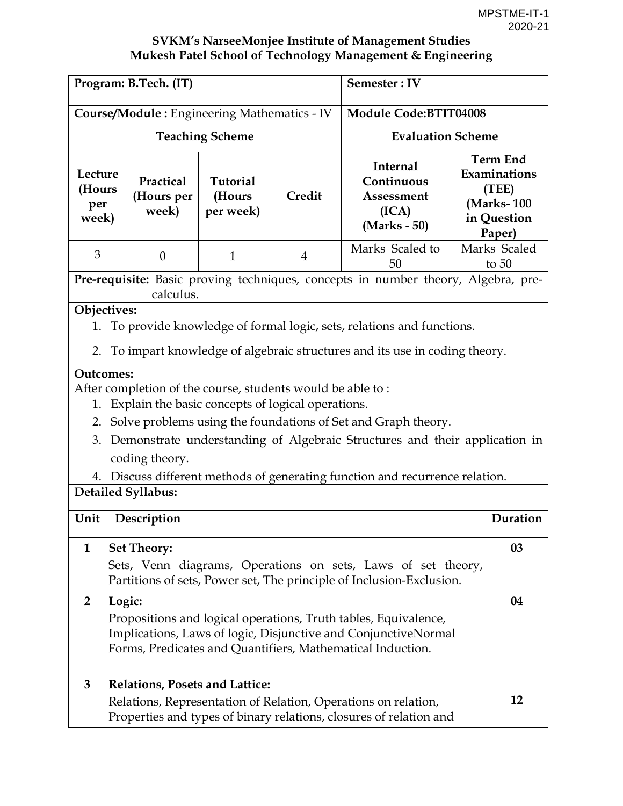| Program: B.Tech. (IT)                                                                                                                                                                                                       |                                                                                                                                                         |                                        |                | Semester: IV                                                                                                                                                                                                                      |    |                                                                                 |
|-----------------------------------------------------------------------------------------------------------------------------------------------------------------------------------------------------------------------------|---------------------------------------------------------------------------------------------------------------------------------------------------------|----------------------------------------|----------------|-----------------------------------------------------------------------------------------------------------------------------------------------------------------------------------------------------------------------------------|----|---------------------------------------------------------------------------------|
|                                                                                                                                                                                                                             | <b>Course/Module:</b> Engineering Mathematics - IV                                                                                                      | <b>Module Code:BTIT04008</b>           |                |                                                                                                                                                                                                                                   |    |                                                                                 |
|                                                                                                                                                                                                                             | <b>Teaching Scheme</b>                                                                                                                                  | <b>Evaluation Scheme</b>               |                |                                                                                                                                                                                                                                   |    |                                                                                 |
| Lecture<br>(Hours<br>per<br>week)                                                                                                                                                                                           | Practical<br>(Hours per<br>week)                                                                                                                        | <b>Tutorial</b><br>(Hours<br>per week) | Credit         | <b>Internal</b><br>Continuous<br>Assessment<br>(ICA)<br>(Marks - 50)                                                                                                                                                              |    | <b>Term End</b><br>Examinations<br>(TEE)<br>(Marks-100<br>in Question<br>Paper) |
| 3                                                                                                                                                                                                                           | $\theta$                                                                                                                                                | $\mathbf{1}$                           | $\overline{4}$ | Marks Scaled to<br>50                                                                                                                                                                                                             |    | Marks Scaled<br>to $50$                                                         |
|                                                                                                                                                                                                                             | calculus.                                                                                                                                               |                                        |                | Pre-requisite: Basic proving techniques, concepts in number theory, Algebra, pre-                                                                                                                                                 |    |                                                                                 |
| 1.<br>2.                                                                                                                                                                                                                    | Objectives:                                                                                                                                             |                                        |                | To provide knowledge of formal logic, sets, relations and functions.<br>To impart knowledge of algebraic structures and its use in coding theory.                                                                                 |    |                                                                                 |
| <b>Outcomes:</b><br>1.                                                                                                                                                                                                      | After completion of the course, students would be able to:<br>Explain the basic concepts of logical operations.<br>coding theory.<br>Detailed Syllabus: |                                        |                | 2. Solve problems using the foundations of Set and Graph theory.<br>3. Demonstrate understanding of Algebraic Structures and their application in<br>4. Discuss different methods of generating function and recurrence relation. |    |                                                                                 |
| Unit                                                                                                                                                                                                                        | Description                                                                                                                                             |                                        |                |                                                                                                                                                                                                                                   |    | Duration                                                                        |
| <b>Set Theory:</b><br>1<br>Sets, Venn diagrams, Operations on sets, Laws of set theory,<br>Partitions of sets, Power set, The principle of Inclusion-Exclusion.                                                             |                                                                                                                                                         |                                        |                |                                                                                                                                                                                                                                   | 03 |                                                                                 |
| $\overline{2}$<br>Logic:<br>Propositions and logical operations, Truth tables, Equivalence,<br>Implications, Laws of logic, Disjunctive and ConjunctiveNormal<br>Forms, Predicates and Quantifiers, Mathematical Induction. |                                                                                                                                                         |                                        |                |                                                                                                                                                                                                                                   | 04 |                                                                                 |
| 3                                                                                                                                                                                                                           | <b>Relations, Posets and Lattice:</b>                                                                                                                   |                                        |                | Relations, Representation of Relation, Operations on relation,<br>Properties and types of binary relations, closures of relation and                                                                                              |    | 12                                                                              |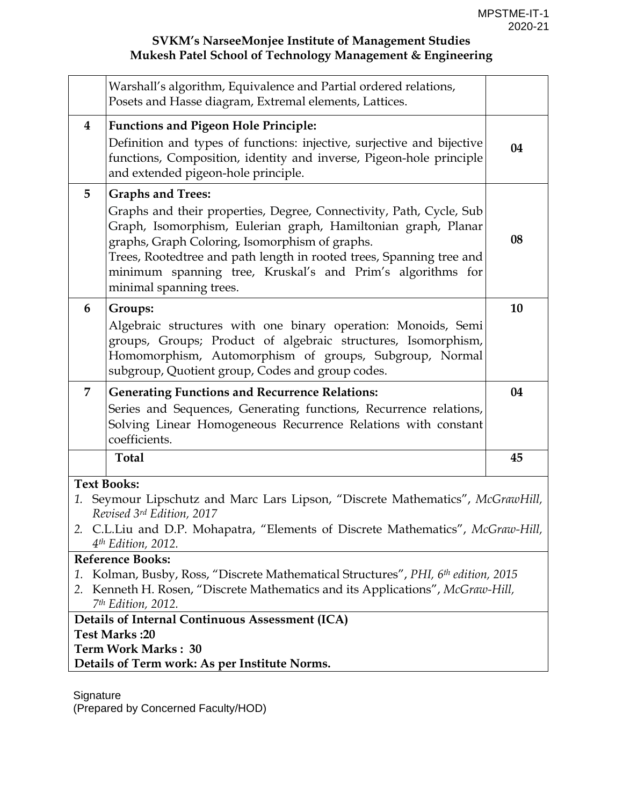| Warshall's algorithm, Equivalence and Partial ordered relations,                                                                                                                                                                                                                                                                                        |    |  |  |
|---------------------------------------------------------------------------------------------------------------------------------------------------------------------------------------------------------------------------------------------------------------------------------------------------------------------------------------------------------|----|--|--|
| Posets and Hasse diagram, Extremal elements, Lattices.                                                                                                                                                                                                                                                                                                  |    |  |  |
| <b>Functions and Pigeon Hole Principle:</b><br>$\bf{4}$                                                                                                                                                                                                                                                                                                 |    |  |  |
| Definition and types of functions: injective, surjective and bijective<br>functions, Composition, identity and inverse, Pigeon-hole principle<br>and extended pigeon-hole principle.                                                                                                                                                                    | 04 |  |  |
| <b>Graphs and Trees:</b><br>5                                                                                                                                                                                                                                                                                                                           |    |  |  |
| Graphs and their properties, Degree, Connectivity, Path, Cycle, Sub<br>Graph, Isomorphism, Eulerian graph, Hamiltonian graph, Planar<br>graphs, Graph Coloring, Isomorphism of graphs.<br>Trees, Rootedtree and path length in rooted trees, Spanning tree and<br>minimum spanning tree, Kruskal's and Prim's algorithms for<br>minimal spanning trees. | 08 |  |  |
| 6<br>Groups:                                                                                                                                                                                                                                                                                                                                            | 10 |  |  |
| Algebraic structures with one binary operation: Monoids, Semi<br>groups, Groups; Product of algebraic structures, Isomorphism,<br>Homomorphism, Automorphism of groups, Subgroup, Normal<br>subgroup, Quotient group, Codes and group codes.                                                                                                            |    |  |  |
| 7<br><b>Generating Functions and Recurrence Relations:</b>                                                                                                                                                                                                                                                                                              | 04 |  |  |
| Series and Sequences, Generating functions, Recurrence relations,<br>Solving Linear Homogeneous Recurrence Relations with constant<br>coefficients.                                                                                                                                                                                                     |    |  |  |
| <b>Total</b>                                                                                                                                                                                                                                                                                                                                            | 45 |  |  |
| <b>Text Books:</b>                                                                                                                                                                                                                                                                                                                                      |    |  |  |
| 1. Seymour Lipschutz and Marc Lars Lipson, "Discrete Mathematics", McGrawHill,<br>Revised 3rd Edition, 2017                                                                                                                                                                                                                                             |    |  |  |
| 2. C.L.Liu and D.P. Mohapatra, "Elements of Discrete Mathematics", McGraw-Hill,                                                                                                                                                                                                                                                                         |    |  |  |
| 4 <sup>th</sup> Edition, 2012.                                                                                                                                                                                                                                                                                                                          |    |  |  |
| <b>Reference Books:</b>                                                                                                                                                                                                                                                                                                                                 |    |  |  |
| Kolman, Busby, Ross, "Discrete Mathematical Structures", PHI, 6th edition, 2015<br>1.                                                                                                                                                                                                                                                                   |    |  |  |
| Kenneth H. Rosen, "Discrete Mathematics and its Applications", McGraw-Hill,<br>2.<br>7 <sup>th</sup> Edition, 2012.                                                                                                                                                                                                                                     |    |  |  |
|                                                                                                                                                                                                                                                                                                                                                         |    |  |  |
| Details of Internal Continuous Assessment (ICA)                                                                                                                                                                                                                                                                                                         |    |  |  |
| Test Marks: 20                                                                                                                                                                                                                                                                                                                                          |    |  |  |
| Term Work Marks: 30<br>Details of Term work: As per Institute Norms.                                                                                                                                                                                                                                                                                    |    |  |  |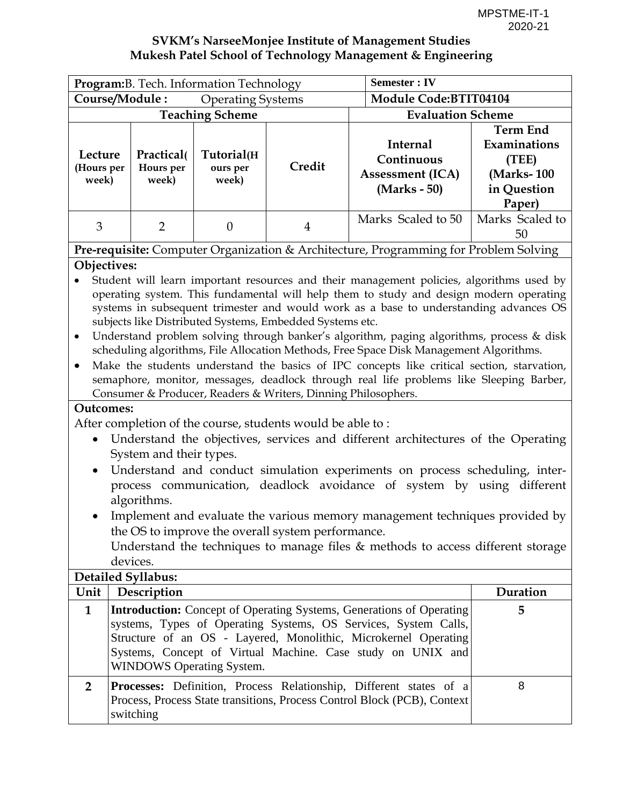| Program: B. Tech. Information Technology            |                                                    |                                 |                                                                                                                           | <b>Semester: IV</b>                                                                                                                                                                                                                                                                                                                                                                                                                                                                                                                                                                                                                                        |                                                                                 |  |
|-----------------------------------------------------|----------------------------------------------------|---------------------------------|---------------------------------------------------------------------------------------------------------------------------|------------------------------------------------------------------------------------------------------------------------------------------------------------------------------------------------------------------------------------------------------------------------------------------------------------------------------------------------------------------------------------------------------------------------------------------------------------------------------------------------------------------------------------------------------------------------------------------------------------------------------------------------------------|---------------------------------------------------------------------------------|--|
| Course/Module:                                      |                                                    | <b>Operating Systems</b>        |                                                                                                                           | <b>Module Code:BTIT04104</b>                                                                                                                                                                                                                                                                                                                                                                                                                                                                                                                                                                                                                               |                                                                                 |  |
|                                                     |                                                    | <b>Teaching Scheme</b>          |                                                                                                                           | <b>Evaluation Scheme</b>                                                                                                                                                                                                                                                                                                                                                                                                                                                                                                                                                                                                                                   |                                                                                 |  |
| Lecture<br>(Hours per<br>week)                      | Practical(<br>Hours per<br>week)                   | Tutorial(H<br>ours per<br>week) | Credit                                                                                                                    | <b>Internal</b><br>Continuous<br><b>Assessment (ICA)</b><br>(Marks - 50)                                                                                                                                                                                                                                                                                                                                                                                                                                                                                                                                                                                   | <b>Term End</b><br>Examinations<br>(TEE)<br>(Marks-100<br>in Question<br>Paper) |  |
| 3                                                   | $\overline{2}$                                     | $\theta$                        | $\overline{4}$                                                                                                            | Marks Scaled to 50                                                                                                                                                                                                                                                                                                                                                                                                                                                                                                                                                                                                                                         | Marks Scaled to<br>50                                                           |  |
|                                                     |                                                    |                                 |                                                                                                                           | Pre-requisite: Computer Organization & Architecture, Programming for Problem Solving                                                                                                                                                                                                                                                                                                                                                                                                                                                                                                                                                                       |                                                                                 |  |
| $\bullet$<br>$\bullet$<br><b>Outcomes:</b>          |                                                    |                                 | subjects like Distributed Systems, Embedded Systems etc.<br>Consumer & Producer, Readers & Writers, Dinning Philosophers. | Student will learn important resources and their management policies, algorithms used by<br>operating system. This fundamental will help them to study and design modern operating<br>systems in subsequent trimester and would work as a base to understanding advances OS<br>Understand problem solving through banker's algorithm, paging algorithms, process & disk<br>scheduling algorithms, File Allocation Methods, Free Space Disk Management Algorithms.<br>Make the students understand the basics of IPC concepts like critical section, starvation,<br>semaphore, monitor, messages, deadlock through real life problems like Sleeping Barber, |                                                                                 |  |
| $\bullet$<br>$\bullet$<br><b>Detailed Syllabus:</b> | System and their types.<br>algorithms.<br>devices. |                                 | After completion of the course, students would be able to:<br>the OS to improve the overall system performance.           | Understand the objectives, services and different architectures of the Operating<br>Understand and conduct simulation experiments on process scheduling, inter-<br>process communication, deadlock avoidance of system by using different<br>Implement and evaluate the various memory management techniques provided by<br>Understand the techniques to manage files $&$ methods to access different storage                                                                                                                                                                                                                                              |                                                                                 |  |
| $L = \frac{1}{2}$                                   |                                                    |                                 |                                                                                                                           |                                                                                                                                                                                                                                                                                                                                                                                                                                                                                                                                                                                                                                                            | D                                                                               |  |

| Unit | Description                                                                                                                                                                                                                                                                                                          | Duration |
|------|----------------------------------------------------------------------------------------------------------------------------------------------------------------------------------------------------------------------------------------------------------------------------------------------------------------------|----------|
| 1    | <b>Introduction:</b> Concept of Operating Systems, Generations of Operating<br>systems, Types of Operating Systems, OS Services, System Calls,<br>Structure of an OS - Layered, Monolithic, Microkernel Operating<br>Systems, Concept of Virtual Machine. Case study on UNIX and<br><b>WINDOWS Operating System.</b> |          |
|      | <b>Processes:</b> Definition, Process Relationship, Different states of a<br>Process, Process State transitions, Process Control Block (PCB), Context<br>switching                                                                                                                                                   | 8        |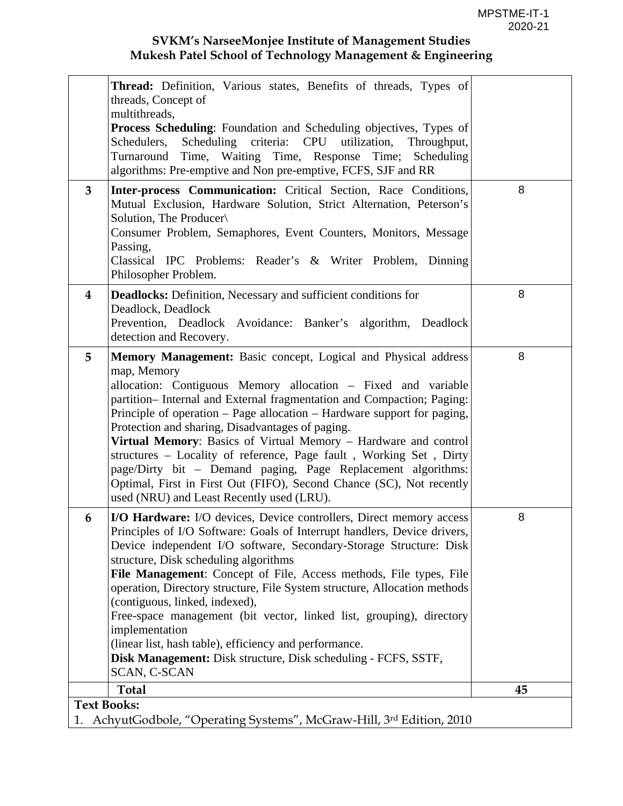|          | <b>Thread:</b> Definition, Various states, Benefits of threads, Types of<br>threads, Concept of<br>multithreads,<br><b>Process Scheduling:</b> Foundation and Scheduling objectives, Types of<br>Schedulers,<br>Scheduling criteria: CPU utilization,<br>Throughput,<br>Turnaround Time, Waiting Time, Response Time; Scheduling<br>algorithms: Pre-emptive and Non pre-emptive, FCFS, SJF and RR                                                                                                                                                                                                                                                                                         |    |
|----------|-------------------------------------------------------------------------------------------------------------------------------------------------------------------------------------------------------------------------------------------------------------------------------------------------------------------------------------------------------------------------------------------------------------------------------------------------------------------------------------------------------------------------------------------------------------------------------------------------------------------------------------------------------------------------------------------|----|
| 3        | Inter-process Communication: Critical Section, Race Conditions,<br>Mutual Exclusion, Hardware Solution, Strict Alternation, Peterson's<br>Solution, The Producer\<br>Consumer Problem, Semaphores, Event Counters, Monitors, Message<br>Passing,<br>Classical IPC Problems: Reader's & Writer Problem, Dinning<br>Philosopher Problem.                                                                                                                                                                                                                                                                                                                                                    | 8  |
| $\bf{4}$ | <b>Deadlocks:</b> Definition, Necessary and sufficient conditions for<br>Deadlock, Deadlock<br>Prevention, Deadlock Avoidance: Banker's algorithm, Deadlock<br>detection and Recovery.                                                                                                                                                                                                                                                                                                                                                                                                                                                                                                    | 8  |
| 5        | Memory Management: Basic concept, Logical and Physical address<br>map, Memory<br>allocation: Contiguous Memory allocation – Fixed and variable<br>partition– Internal and External fragmentation and Compaction; Paging:<br>Principle of operation – Page allocation – Hardware support for paging,<br>Protection and sharing, Disadvantages of paging.<br>Virtual Memory: Basics of Virtual Memory - Hardware and control<br>structures – Locality of reference, Page fault, Working Set, Dirty<br>page/Dirty bit – Demand paging, Page Replacement algorithms:<br>Optimal, First in First Out (FIFO), Second Chance (SC), Not recently<br>used (NRU) and Least Recently used (LRU).     | 8  |
| 6        | I/O Hardware: I/O devices, Device controllers, Direct memory access<br>Principles of I/O Software: Goals of Interrupt handlers, Device drivers,<br>Device independent I/O software, Secondary-Storage Structure: Disk<br>structure, Disk scheduling algorithms<br>File Management: Concept of File, Access methods, File types, File<br>operation, Directory structure, File System structure, Allocation methods<br>(contiguous, linked, indexed),<br>Free-space management (bit vector, linked list, grouping), directory<br>implementation<br>(linear list, hash table), efficiency and performance.<br>Disk Management: Disk structure, Disk scheduling - FCFS, SSTF,<br>SCAN, C-SCAN | 8  |
|          | <b>Total</b>                                                                                                                                                                                                                                                                                                                                                                                                                                                                                                                                                                                                                                                                              | 45 |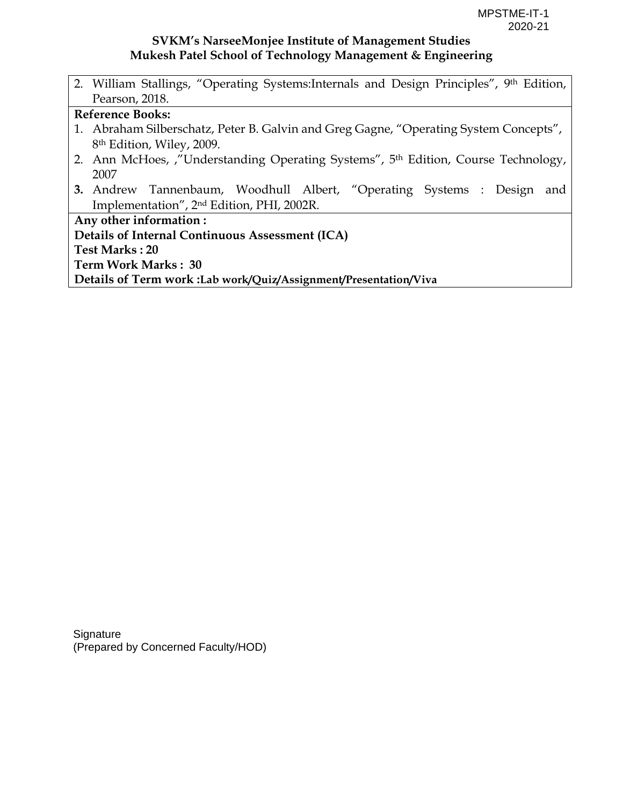2. William Stallings, "Operating Systems:Internals and Design Principles", 9th Edition, Pearson, 2018.

#### **Reference Books:**

- 1. Abraham Silberschatz, Peter B. Galvin and Greg Gagne, "Operating System Concepts", 8th Edition, Wiley, 2009.
- 2. Ann McHoes, ,"Understanding Operating Systems", 5th Edition, Course Technology, 2007
- **3.** Andrew Tannenbaum, Woodhull Albert, "Operating Systems : Design and Implementation", 2nd Edition, PHI, 2002R.

**Any other information : Details of Internal Continuous Assessment (ICA) Test Marks : 20 Term Work Marks : 30** 

**Details of Term work :Lab work/Quiz/Assignment/Presentation/Viva**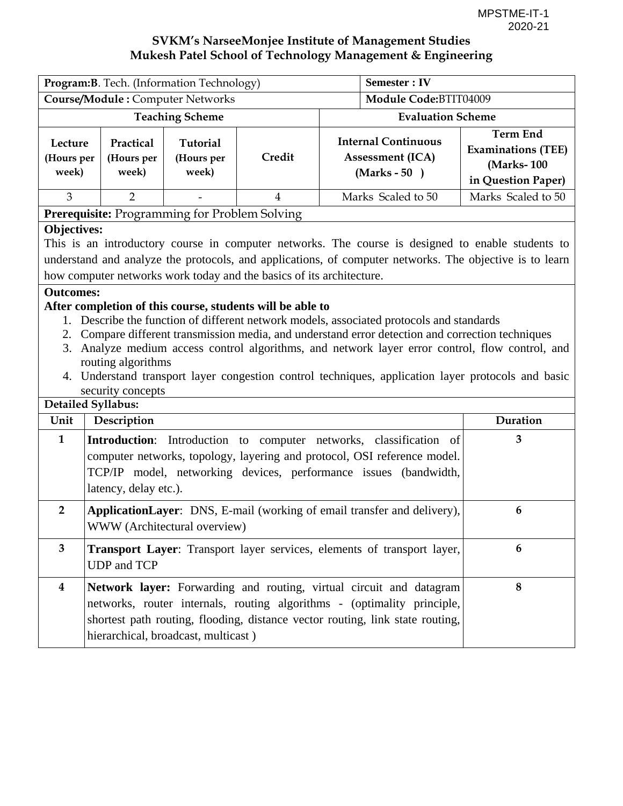| Program: B. Tech. (Information Technology) |                                  |                                                      | Semester : IV |                          |                                                                         |                                                                                   |  |
|--------------------------------------------|----------------------------------|------------------------------------------------------|---------------|--------------------------|-------------------------------------------------------------------------|-----------------------------------------------------------------------------------|--|
| <b>Course/Module: Computer Networks</b>    |                                  |                                                      |               |                          | Module Code:BTIT04009                                                   |                                                                                   |  |
| <b>Teaching Scheme</b>                     |                                  |                                                      |               | <b>Evaluation Scheme</b> |                                                                         |                                                                                   |  |
| Lecture<br>(Hours per<br>week)             | Practical<br>(Hours per<br>week) | <b>Tutorial</b><br>(Hours per<br>week)               | Credit        |                          | <b>Internal Continuous</b><br><b>Assessment (ICA)</b><br>$(Marks - 50)$ | <b>Term End</b><br><b>Examinations (TEE)</b><br>(Marks-100)<br>in Question Paper) |  |
| 3                                          | $\overline{2}$                   | $\qquad \qquad \blacksquare$                         | 4             |                          | Marks Scaled to 50                                                      | Marks Scaled to 50                                                                |  |
|                                            |                                  | <b>Prerequisite:</b> Programming for Problem Solving |               |                          |                                                                         |                                                                                   |  |

#### **Objectives:**

This is an introductory course in computer networks. The course is designed to enable students to understand and analyze the protocols, and applications, of computer networks. The objective is to learn how computer networks work today and the basics of its architecture.

#### **Outcomes:**

#### **After completion of this course, students will be able to**

- 1. Describe the function of different network models, associated protocols and standards
- 2. Compare different transmission media, and understand error detection and correction techniques
- 3. Analyze medium access control algorithms, and network layer error control, flow control, and routing algorithms
- 4. Understand transport layer congestion control techniques, application layer protocols and basic security concepts

#### **Detailed Syllabus:**  Unit Description **Duration Duration 1 Introduction**: Introduction to computer networks, classification of computer networks, topology, layering and protocol, OSI reference model. TCP/IP model, networking devices, performance issues (bandwidth, latency, delay etc.). **3 2 ApplicationLayer**: DNS, E-mail (working of email transfer and delivery), WWW (Architectural overview) **6 3 Transport Layer**: Transport layer services, elements of transport layer, UDP and TCP **6 4 Network layer:** Forwarding and routing, virtual circuit and datagram networks, router internals, routing algorithms - (optimality principle, shortest path routing, flooding, distance vector routing, link state routing, hierarchical, broadcast, multicast ) **8**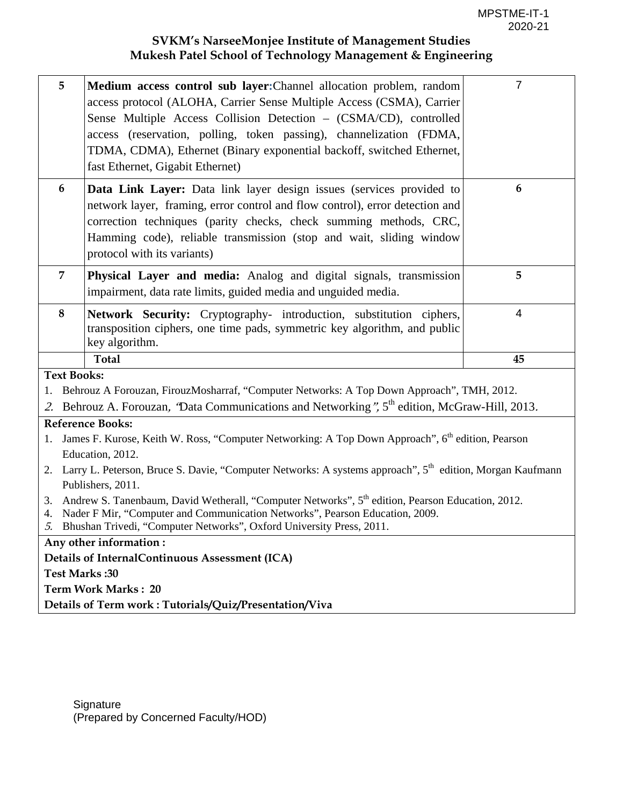| 5                                                                                                                                                      | Medium access control sub layer: Channel allocation problem, random<br>access protocol (ALOHA, Carrier Sense Multiple Access (CSMA), Carrier<br>Sense Multiple Access Collision Detection - (CSMA/CD), controlled<br>access (reservation, polling, token passing), channelization (FDMA,<br>TDMA, CDMA), Ethernet (Binary exponential backoff, switched Ethernet,<br>fast Ethernet, Gigabit Ethernet) | $\overline{7}$ |  |  |
|--------------------------------------------------------------------------------------------------------------------------------------------------------|-------------------------------------------------------------------------------------------------------------------------------------------------------------------------------------------------------------------------------------------------------------------------------------------------------------------------------------------------------------------------------------------------------|----------------|--|--|
| $6\phantom{1}6$                                                                                                                                        | Data Link Layer: Data link layer design issues (services provided to<br>network layer, framing, error control and flow control), error detection and<br>correction techniques (parity checks, check summing methods, CRC,<br>Hamming code), reliable transmission (stop and wait, sliding window<br>protocol with its variants)                                                                       |                |  |  |
| $\overline{7}$<br>Physical Layer and media: Analog and digital signals, transmission<br>impairment, data rate limits, guided media and unguided media. |                                                                                                                                                                                                                                                                                                                                                                                                       | 5              |  |  |
| $\bf{8}$                                                                                                                                               | Network Security: Cryptography- introduction, substitution ciphers,<br>transposition ciphers, one time pads, symmetric key algorithm, and public<br>key algorithm.                                                                                                                                                                                                                                    |                |  |  |
|                                                                                                                                                        | <b>Total</b>                                                                                                                                                                                                                                                                                                                                                                                          | 45             |  |  |
| <b>Text Books:</b>                                                                                                                                     |                                                                                                                                                                                                                                                                                                                                                                                                       |                |  |  |
|                                                                                                                                                        | Behrouz A Forouzan, FirouzMosharraf, "Computer Networks: A Top Down Approach", TMH, 2012.                                                                                                                                                                                                                                                                                                             |                |  |  |
|                                                                                                                                                        | 2. Behrouz A. Forouzan, 'Data Communications and Networking", 5 <sup>th</sup> edition, McGraw-Hill, 2013.                                                                                                                                                                                                                                                                                             |                |  |  |
|                                                                                                                                                        | <b>Reference Books:</b>                                                                                                                                                                                                                                                                                                                                                                               |                |  |  |
| 1.                                                                                                                                                     | James F. Kurose, Keith W. Ross, "Computer Networking: A Top Down Approach", 6 <sup>th</sup> edition, Pearson                                                                                                                                                                                                                                                                                          |                |  |  |
|                                                                                                                                                        | Education, 2012.                                                                                                                                                                                                                                                                                                                                                                                      |                |  |  |
| 2.                                                                                                                                                     | Larry L. Peterson, Bruce S. Davie, "Computer Networks: A systems approach", 5 <sup>th</sup> edition, Morgan Kaufmann                                                                                                                                                                                                                                                                                  |                |  |  |
|                                                                                                                                                        | Publishers, 2011.                                                                                                                                                                                                                                                                                                                                                                                     |                |  |  |
| 3.<br>4.                                                                                                                                               | Andrew S. Tanenbaum, David Wetherall, "Computer Networks", 5 <sup>th</sup> edition, Pearson Education, 2012.<br>Nader F Mir, "Computer and Communication Networks", Pearson Education, 2009.<br>5. Bhushan Trivedi, "Computer Networks", Oxford University Press, 2011.                                                                                                                               |                |  |  |
|                                                                                                                                                        | Any other information:                                                                                                                                                                                                                                                                                                                                                                                |                |  |  |
|                                                                                                                                                        | Details of InternalContinuous Assessment (ICA)                                                                                                                                                                                                                                                                                                                                                        |                |  |  |
| Test Marks: 30                                                                                                                                         |                                                                                                                                                                                                                                                                                                                                                                                                       |                |  |  |
|                                                                                                                                                        | <b>Term Work Marks: 20</b>                                                                                                                                                                                                                                                                                                                                                                            |                |  |  |
|                                                                                                                                                        | Details of Term work: Tutorials/Quiz/Presentation/Viva                                                                                                                                                                                                                                                                                                                                                |                |  |  |
|                                                                                                                                                        |                                                                                                                                                                                                                                                                                                                                                                                                       |                |  |  |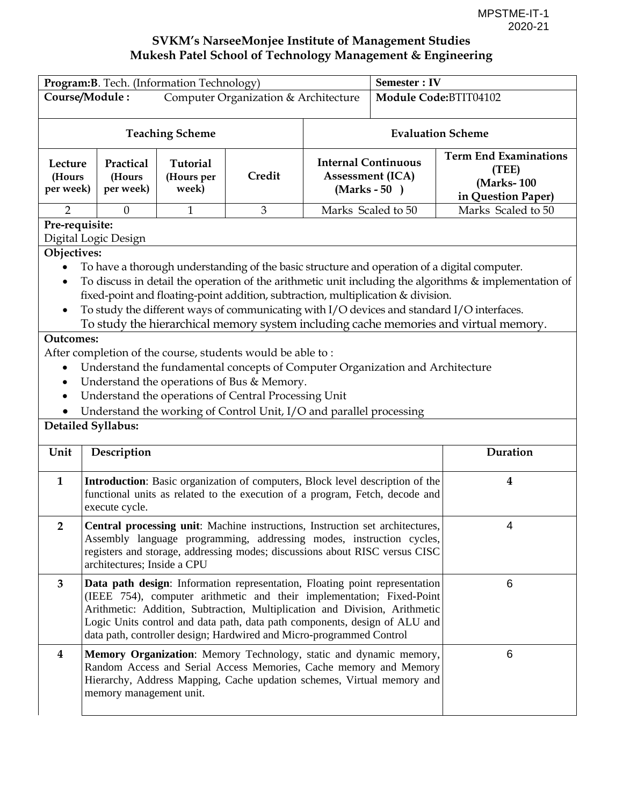| Program: B. Tech. (Information Technology)                                                                                                                                                                                                                                                                                                                                  |                                                                                                                                                                                                                                                                                                                                                                                                                                                                                  |                                 |                                                                                                                                                                                                                   |                                                                         | <b>Semester: IV</b> |                                                                           |  |
|-----------------------------------------------------------------------------------------------------------------------------------------------------------------------------------------------------------------------------------------------------------------------------------------------------------------------------------------------------------------------------|----------------------------------------------------------------------------------------------------------------------------------------------------------------------------------------------------------------------------------------------------------------------------------------------------------------------------------------------------------------------------------------------------------------------------------------------------------------------------------|---------------------------------|-------------------------------------------------------------------------------------------------------------------------------------------------------------------------------------------------------------------|-------------------------------------------------------------------------|---------------------|---------------------------------------------------------------------------|--|
|                                                                                                                                                                                                                                                                                                                                                                             | Course/Module:<br>Computer Organization & Architecture                                                                                                                                                                                                                                                                                                                                                                                                                           |                                 |                                                                                                                                                                                                                   | Module Code: BTIT04102                                                  |                     |                                                                           |  |
|                                                                                                                                                                                                                                                                                                                                                                             |                                                                                                                                                                                                                                                                                                                                                                                                                                                                                  | <b>Teaching Scheme</b>          |                                                                                                                                                                                                                   | <b>Evaluation Scheme</b>                                                |                     |                                                                           |  |
| Lecture<br>(Hours<br>per week)                                                                                                                                                                                                                                                                                                                                              | Practical<br>(Hours<br>per week)                                                                                                                                                                                                                                                                                                                                                                                                                                                 | Tutorial<br>(Hours per<br>week) | Credit                                                                                                                                                                                                            | <b>Internal Continuous</b><br><b>Assessment (ICA)</b><br>$(Marks - 50)$ |                     | <b>Term End Examinations</b><br>(TEE)<br>(Marks-100<br>in Question Paper) |  |
| $\overline{2}$                                                                                                                                                                                                                                                                                                                                                              | $\boldsymbol{0}$                                                                                                                                                                                                                                                                                                                                                                                                                                                                 | 1                               | 3                                                                                                                                                                                                                 | Marks Scaled to 50                                                      |                     | Marks Scaled to 50                                                        |  |
| Pre-requisite:<br>Objectives:                                                                                                                                                                                                                                                                                                                                               | Digital Logic Design                                                                                                                                                                                                                                                                                                                                                                                                                                                             |                                 |                                                                                                                                                                                                                   |                                                                         |                     |                                                                           |  |
| $\bullet$                                                                                                                                                                                                                                                                                                                                                                   | To have a thorough understanding of the basic structure and operation of a digital computer.<br>To discuss in detail the operation of the arithmetic unit including the algorithms & implementation of<br>fixed-point and floating-point addition, subtraction, multiplication & division.<br>To study the different ways of communicating with I/O devices and standard I/O interfaces.<br>To study the hierarchical memory system including cache memories and virtual memory. |                                 |                                                                                                                                                                                                                   |                                                                         |                     |                                                                           |  |
| <b>Outcomes:</b><br>After completion of the course, students would be able to:<br>Understand the fundamental concepts of Computer Organization and Architecture<br>٠<br>Understand the operations of Bus & Memory.<br>$\bullet$<br>Understand the operations of Central Processing Unit<br>$\bullet$<br>Understand the working of Control Unit, I/O and parallel processing |                                                                                                                                                                                                                                                                                                                                                                                                                                                                                  |                                 |                                                                                                                                                                                                                   |                                                                         |                     |                                                                           |  |
|                                                                                                                                                                                                                                                                                                                                                                             | <b>Detailed Syllabus:</b>                                                                                                                                                                                                                                                                                                                                                                                                                                                        |                                 |                                                                                                                                                                                                                   |                                                                         |                     |                                                                           |  |
| Unit                                                                                                                                                                                                                                                                                                                                                                        | Description                                                                                                                                                                                                                                                                                                                                                                                                                                                                      |                                 |                                                                                                                                                                                                                   |                                                                         |                     | Duration                                                                  |  |
| $\mathbf{1}$                                                                                                                                                                                                                                                                                                                                                                | execute cycle.                                                                                                                                                                                                                                                                                                                                                                                                                                                                   |                                 | Introduction: Basic organization of computers, Block level description of the<br>functional units as related to the execution of a program, Fetch, decode and                                                     |                                                                         |                     | $\boldsymbol{4}$                                                          |  |
| $\overline{2}$                                                                                                                                                                                                                                                                                                                                                              | Central processing unit: Machine instructions, Instruction set architectures,<br>4<br>Assembly language programming, addressing modes, instruction cycles,<br>registers and storage, addressing modes; discussions about RISC versus CISC<br>architectures; Inside a CPU                                                                                                                                                                                                         |                                 |                                                                                                                                                                                                                   |                                                                         |                     |                                                                           |  |
| $\mathbf{3}$                                                                                                                                                                                                                                                                                                                                                                | 6<br>Data path design: Information representation, Floating point representation<br>(IEEE 754), computer arithmetic and their implementation; Fixed-Point<br>Arithmetic: Addition, Subtraction, Multiplication and Division, Arithmetic<br>Logic Units control and data path, data path components, design of ALU and<br>data path, controller design; Hardwired and Micro-programmed Control                                                                                    |                                 |                                                                                                                                                                                                                   |                                                                         |                     |                                                                           |  |
| $\overline{\mathbf{4}}$                                                                                                                                                                                                                                                                                                                                                     | memory management unit.                                                                                                                                                                                                                                                                                                                                                                                                                                                          |                                 | Memory Organization: Memory Technology, static and dynamic memory,<br>Random Access and Serial Access Memories, Cache memory and Memory<br>Hierarchy, Address Mapping, Cache updation schemes, Virtual memory and |                                                                         |                     | 6                                                                         |  |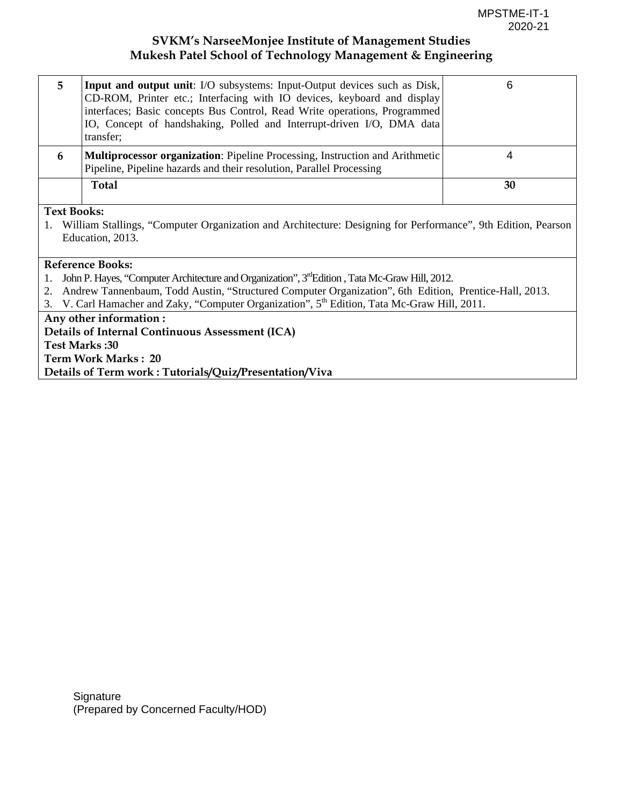| 5.                 | Input and output unit: I/O subsystems: Input-Output devices such as Disk,<br>CD-ROM, Printer etc.; Interfacing with IO devices, keyboard and display<br>interfaces; Basic concepts Bus Control, Read Write operations, Programmed<br>IO, Concept of handshaking, Polled and Interrupt-driven I/O, DMA data<br>transfer; | 6  |
|--------------------|-------------------------------------------------------------------------------------------------------------------------------------------------------------------------------------------------------------------------------------------------------------------------------------------------------------------------|----|
| 6                  | <b>Multiprocessor organization:</b> Pipeline Processing, Instruction and Arithmetic<br>Pipeline, Pipeline hazards and their resolution, Parallel Processing                                                                                                                                                             |    |
|                    | Total                                                                                                                                                                                                                                                                                                                   | 30 |
| <b>Text Books:</b> | William Stallings, "Computer Organization and Architecture: Decisions for Derformance" Oth Edition, Decrees                                                                                                                                                                                                             |    |

1. William Stallings, "Computer Organization and Architecture: Designing for Performance", 9th Edition, Pearson Education, 2013.

#### **Reference Books:**

- 1. John P. Hayes, "Computer Architecture and Organization", 3<sup>rd</sup>Edition , Tata Mc-Graw Hill, 2012.
- 2. Andrew Tannenbaum, Todd Austin, "Structured Computer Organization", 6th Edition, Prentice-Hall, 2013.
- 3. V. Carl Hamacher and Zaky, "Computer Organization", 5<sup>th</sup> Edition, Tata Mc-Graw Hill, 2011.

**Any other information : Details of Internal Continuous Assessment (ICA) Test Marks :30 Term Work Marks : 20 Details of Term work : Tutorials/Quiz/Presentation/Viva**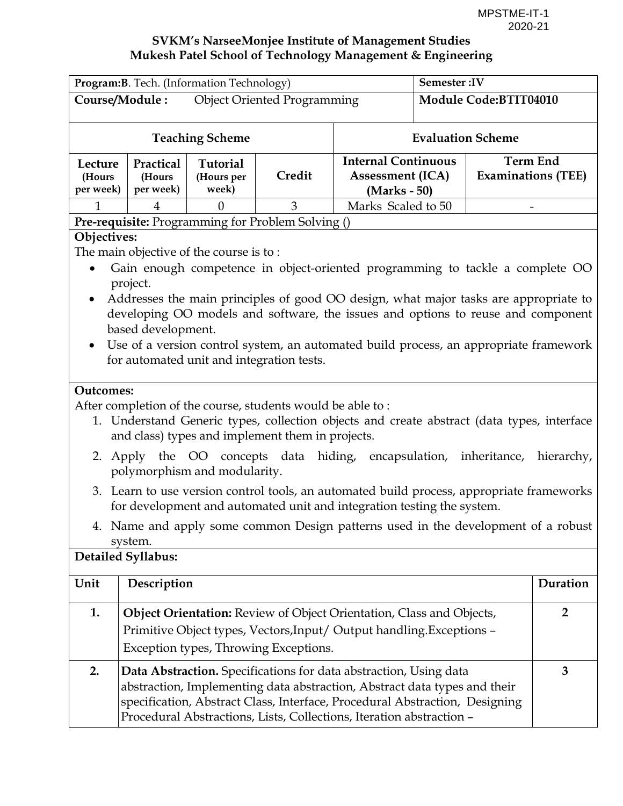| Program: B. Tech. (Information Technology) |                                                      |                                         |                                                                                                                | Semester:IV                                                                                                                                                                                                                                                                                                                                        |                          |                                              |                |
|--------------------------------------------|------------------------------------------------------|-----------------------------------------|----------------------------------------------------------------------------------------------------------------|----------------------------------------------------------------------------------------------------------------------------------------------------------------------------------------------------------------------------------------------------------------------------------------------------------------------------------------------------|--------------------------|----------------------------------------------|----------------|
|                                            | Course/Module:<br><b>Object Oriented Programming</b> |                                         |                                                                                                                |                                                                                                                                                                                                                                                                                                                                                    | Module Code:BTIT04010    |                                              |                |
|                                            |                                                      | <b>Teaching Scheme</b>                  |                                                                                                                |                                                                                                                                                                                                                                                                                                                                                    | <b>Evaluation Scheme</b> |                                              |                |
| Lecture<br>(Hours<br>per week)             | Practical<br>(Hours<br>per week)                     | <b>Tutorial</b><br>(Hours per<br>week)  | Credit                                                                                                         | <b>Internal Continuous</b><br><b>Assessment (ICA)</b><br>(Marks - 50)                                                                                                                                                                                                                                                                              |                          | <b>Term End</b><br><b>Examinations (TEE)</b> |                |
| $\mathbf{1}$                               | 4                                                    | $\theta$                                | 3                                                                                                              | Marks Scaled to 50                                                                                                                                                                                                                                                                                                                                 |                          |                                              |                |
|                                            |                                                      |                                         | Pre-requisite: Programming for Problem Solving ()                                                              |                                                                                                                                                                                                                                                                                                                                                    |                          |                                              |                |
| Objectives:<br><b>Outcomes:</b>            | project.<br>based development.                       | The main objective of the course is to: | for automated unit and integration tests.                                                                      | Gain enough competence in object-oriented programming to tackle a complete OO<br>Addresses the main principles of good OO design, what major tasks are appropriate to<br>developing OO models and software, the issues and options to reuse and component<br>Use of a version control system, an automated build process, an appropriate framework |                          |                                              |                |
|                                            |                                                      |                                         | After completion of the course, students would be able to:<br>and class) types and implement them in projects. | 1. Understand Generic types, collection objects and create abstract (data types, interface                                                                                                                                                                                                                                                         |                          |                                              |                |
|                                            |                                                      | polymorphism and modularity.            |                                                                                                                | 2. Apply the OO concepts data hiding, encapsulation, inheritance, hierarchy,                                                                                                                                                                                                                                                                       |                          |                                              |                |
| 3.                                         |                                                      |                                         |                                                                                                                | Learn to use version control tools, an automated build process, appropriate frameworks<br>for development and automated unit and integration testing the system.                                                                                                                                                                                   |                          |                                              |                |
|                                            | system.                                              |                                         |                                                                                                                | 4. Name and apply some common Design patterns used in the development of a robust                                                                                                                                                                                                                                                                  |                          |                                              |                |
|                                            | <b>Detailed Syllabus:</b>                            |                                         |                                                                                                                |                                                                                                                                                                                                                                                                                                                                                    |                          |                                              |                |
| Unit                                       | Description                                          |                                         |                                                                                                                |                                                                                                                                                                                                                                                                                                                                                    |                          |                                              | Duration       |
| 1.                                         |                                                      |                                         | Exception types, Throwing Exceptions.                                                                          | Object Orientation: Review of Object Orientation, Class and Objects,<br>Primitive Object types, Vectors, Input/ Output handling. Exceptions -                                                                                                                                                                                                      |                          |                                              | $\overline{2}$ |
| 2.                                         |                                                      |                                         |                                                                                                                | Data Abstraction. Specifications for data abstraction, Using data<br>abstraction, Implementing data abstraction, Abstract data types and their<br>specification, Abstract Class, Interface, Procedural Abstraction, Designing<br>Procedural Abstractions, Lists, Collections, Iteration abstraction -                                              |                          |                                              | 3              |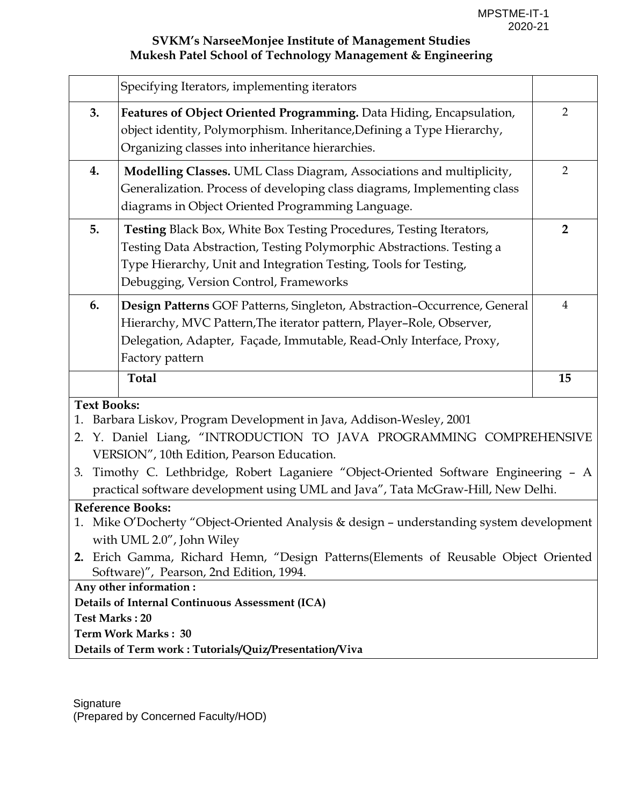|                                | Specifying Iterators, implementing iterators                                                                                                                                                                                                                                                                                                                    |                |
|--------------------------------|-----------------------------------------------------------------------------------------------------------------------------------------------------------------------------------------------------------------------------------------------------------------------------------------------------------------------------------------------------------------|----------------|
| 3.                             | Features of Object Oriented Programming. Data Hiding, Encapsulation,<br>object identity, Polymorphism. Inheritance, Defining a Type Hierarchy,<br>Organizing classes into inheritance hierarchies.                                                                                                                                                              | $\overline{2}$ |
| 4.                             | Modelling Classes. UML Class Diagram, Associations and multiplicity,<br>Generalization. Process of developing class diagrams, Implementing class<br>diagrams in Object Oriented Programming Language.                                                                                                                                                           | $\overline{2}$ |
| 5.                             | Testing Black Box, White Box Testing Procedures, Testing Iterators,<br>Testing Data Abstraction, Testing Polymorphic Abstractions. Testing a<br>Type Hierarchy, Unit and Integration Testing, Tools for Testing,<br>Debugging, Version Control, Frameworks                                                                                                      | $\overline{2}$ |
| 6.                             | Design Patterns GOF Patterns, Singleton, Abstraction-Occurrence, General<br>Hierarchy, MVC Pattern, The iterator pattern, Player-Role, Observer,<br>Delegation, Adapter, Façade, Immutable, Read-Only Interface, Proxy,<br>Factory pattern                                                                                                                      | $\overline{4}$ |
|                                | <b>Total</b>                                                                                                                                                                                                                                                                                                                                                    | 15             |
| <b>Text Books:</b><br>1.<br>2. | Barbara Liskov, Program Development in Java, Addison-Wesley, 2001<br>Y. Daniel Liang, "INTRODUCTION TO JAVA PROGRAMMING COMPREHENSIVE<br>VERSION", 10th Edition, Pearson Education.<br>3. Timothy C. Lethbridge, Robert Laganiere "Object-Oriented Software Engineering - A<br>practical software development using UML and Java", Tata McGraw-Hill, New Delhi. |                |
|                                | <b>Reference Books:</b><br>1. Mike O'Docherty "Object-Oriented Analysis & design - understanding system development<br>with UML 2.0", John Wiley<br>2. Erich Gamma, Richard Hemn, "Design Patterns (Elements of Reusable Object Oriented<br>Software)", Pearson, 2nd Edition, 1994.                                                                             |                |
| <b>Test Marks: 20</b>          | Any other information:<br>Details of Internal Continuous Assessment (ICA)<br><b>Term Work Marks: 30</b><br>Details of Term work: Tutorials/Quiz/Presentation/Viva                                                                                                                                                                                               |                |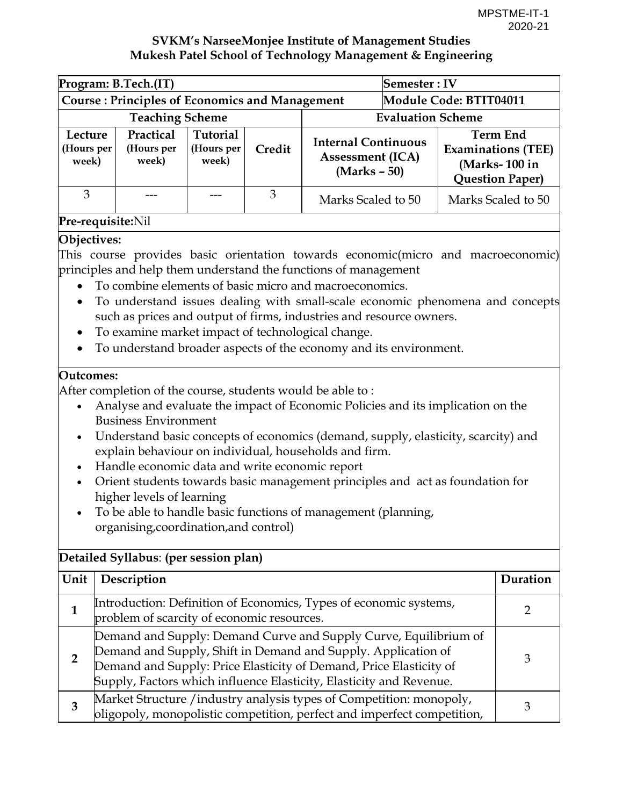| Program: B.Tech.(IT)                                  |                                  |                                 |        |                                                                         | Semester: IV           |                                                                                         |
|-------------------------------------------------------|----------------------------------|---------------------------------|--------|-------------------------------------------------------------------------|------------------------|-----------------------------------------------------------------------------------------|
| <b>Course: Principles of Economics and Management</b> |                                  |                                 |        |                                                                         | Module Code: BTIT04011 |                                                                                         |
| <b>Teaching Scheme</b>                                |                                  |                                 |        | <b>Evaluation Scheme</b>                                                |                        |                                                                                         |
| Lecture<br>(Hours per<br>week)                        | Practical<br>(Hours per<br>week) | Tutorial<br>(Hours per<br>week) | Credit | <b>Internal Continuous</b><br><b>Assessment (ICA)</b><br>$(Marks - 50)$ |                        | <b>Term End</b><br><b>Examinations (TEE)</b><br>(Marks-100 in<br><b>Question Paper)</b> |
| 3                                                     |                                  |                                 | 3      | Marks Scaled to 50                                                      |                        | Marks Scaled to 50                                                                      |

#### **Pre-requisite:**Nil

#### **Objectives:**

This course provides basic orientation towards economic(micro and macroeconomic) principles and help them understand the functions of management

- To combine elements of basic micro and macroeconomics.
- To understand issues dealing with small-scale economic phenomena and concepts such as prices and output of firms, industries and resource owners.
- To examine market impact of technological change.
- To understand broader aspects of the economy and its environment.

#### **Outcomes:**

After completion of the course, students would be able to :

- Analyse and evaluate the impact of Economic Policies and its implication on the Business Environment
- Understand basic concepts of economics (demand, supply, elasticity, scarcity) and explain behaviour on individual, households and firm.
- Handle economic data and write economic report
- Orient students towards basic management principles and act as foundation for higher levels of learning
- To be able to handle basic functions of management (planning, organising,coordination,and control)

## **Detailed Syllabus**: **(per session plan)**

| Unit | Description                                                                                                                                                                                                                                                                    | $1)$ uration |
|------|--------------------------------------------------------------------------------------------------------------------------------------------------------------------------------------------------------------------------------------------------------------------------------|--------------|
|      | Introduction: Definition of Economics, Types of economic systems,<br>problem of scarcity of economic resources.                                                                                                                                                                |              |
|      | Demand and Supply: Demand Curve and Supply Curve, Equilibrium of<br>Demand and Supply, Shift in Demand and Supply. Application of<br>Demand and Supply: Price Elasticity of Demand, Price Elasticity of<br>Supply, Factors which influence Elasticity, Elasticity and Revenue. |              |
| З    | Market Structure / industry analysis types of Competition: monopoly,<br>oligopoly, monopolistic competition, perfect and imperfect competition,                                                                                                                                |              |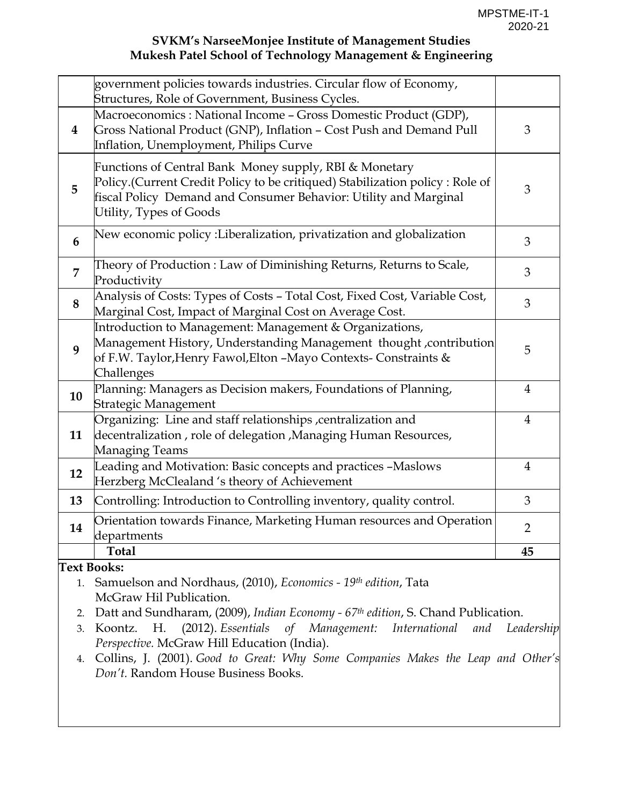|          | government policies towards industries. Circular flow of Economy,<br>Structures, Role of Government, Business Cycles.                                                                                                                 |                |  |  |  |  |
|----------|---------------------------------------------------------------------------------------------------------------------------------------------------------------------------------------------------------------------------------------|----------------|--|--|--|--|
| $\bf{4}$ | Macroeconomics: National Income - Gross Domestic Product (GDP),<br>Gross National Product (GNP), Inflation - Cost Push and Demand Pull<br>Inflation, Unemployment, Philips Curve                                                      |                |  |  |  |  |
| 5        | Functions of Central Bank Money supply, RBI & Monetary<br>Policy.(Current Credit Policy to be critiqued) Stabilization policy: Role of<br>fiscal Policy Demand and Consumer Behavior: Utility and Marginal<br>Utility, Types of Goods |                |  |  |  |  |
| 6        | New economic policy :Liberalization, privatization and globalization                                                                                                                                                                  |                |  |  |  |  |
| 7        | Theory of Production: Law of Diminishing Returns, Returns to Scale,<br>Productivity                                                                                                                                                   | 3              |  |  |  |  |
| 8        | Analysis of Costs: Types of Costs - Total Cost, Fixed Cost, Variable Cost,<br>Marginal Cost, Impact of Marginal Cost on Average Cost.                                                                                                 | 3              |  |  |  |  |
| 9        | Introduction to Management: Management & Organizations,<br>Management History, Understanding Management thought, contribution<br>of F.W. Taylor, Henry Fawol, Elton - Mayo Contexts- Constraints &<br>Challenges                      | 5              |  |  |  |  |
| 10       | Planning: Managers as Decision makers, Foundations of Planning,<br>Strategic Management                                                                                                                                               | $\overline{4}$ |  |  |  |  |
| 11       | Organizing: Line and staff relationships , centralization and<br>decentralization, role of delegation, Managing Human Resources,<br>Managing Teams                                                                                    | $\overline{4}$ |  |  |  |  |
| 12       | Leading and Motivation: Basic concepts and practices -Maslows<br>Herzberg McClealand 's theory of Achievement                                                                                                                         | $\overline{4}$ |  |  |  |  |
| 13       | Controlling: Introduction to Controlling inventory, quality control.                                                                                                                                                                  | 3              |  |  |  |  |
| 14       | Orientation towards Finance, Marketing Human resources and Operation<br>departments                                                                                                                                                   |                |  |  |  |  |
|          | <b>Total</b>                                                                                                                                                                                                                          | 45             |  |  |  |  |

**Text Books:**

- 1. Samuelson and Nordhaus, (2010), *Economics 19th edition*, Tata McGraw Hil Publication.
- 2. Datt and Sundharam, (2009), *Indian Economy 67th edition*, S. Chand Publication.
- 3. Koontz. H. (2012). *Essentials of Management: International and Leadership Perspective.* McGraw Hill Education (India).
- 4. Collins, J. (2001). *Good to Great: Why Some Companies Makes the Leap and Other's Don't.* Random House Business Books.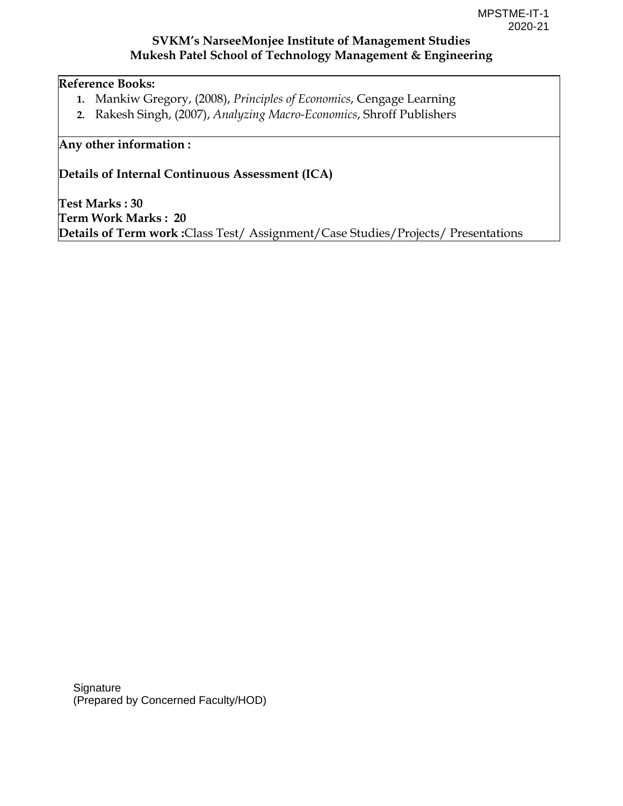### **Reference Books:**

- **1.** Mankiw Gregory, (2008), *Principles of Economics*, Cengage Learning
- **2.** Rakesh Singh, (2007), *Analyzing Macro-Economics*, Shroff Publishers

### **Any other information :**

**Details of Internal Continuous Assessment (ICA)** 

**Test Marks : 30 Term Work Marks : 20 Details of Term work :**Class Test/ Assignment/Case Studies/Projects/ Presentations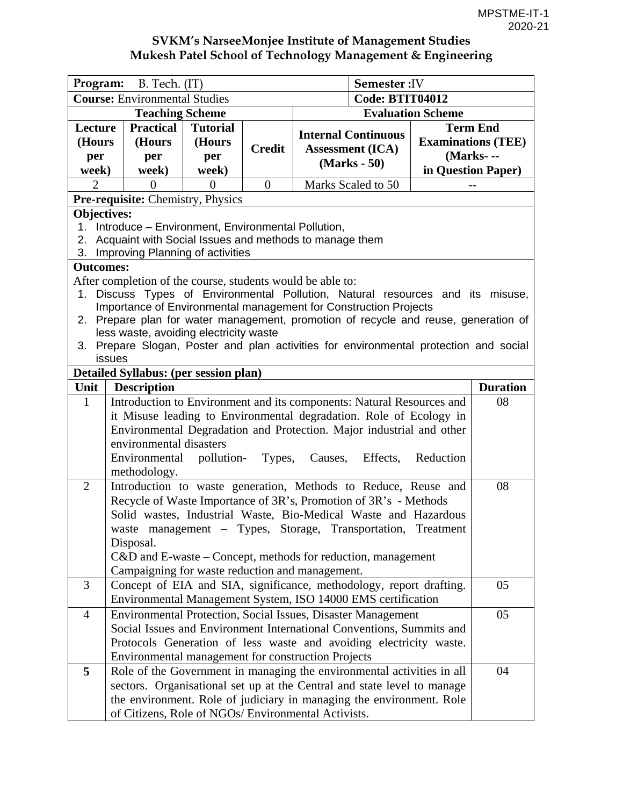| Program: B. Tech. (IT)                                                                                                                                                                                                                                                                                                                                                                                                                                        |                                                                                                                                                                                                                                                                                                                                                                                                               |                                           |                |                                                                         | <b>Semester: IV</b>                                                                                                                                                                                                       |                                                                                 |                 |  |  |
|---------------------------------------------------------------------------------------------------------------------------------------------------------------------------------------------------------------------------------------------------------------------------------------------------------------------------------------------------------------------------------------------------------------------------------------------------------------|---------------------------------------------------------------------------------------------------------------------------------------------------------------------------------------------------------------------------------------------------------------------------------------------------------------------------------------------------------------------------------------------------------------|-------------------------------------------|----------------|-------------------------------------------------------------------------|---------------------------------------------------------------------------------------------------------------------------------------------------------------------------------------------------------------------------|---------------------------------------------------------------------------------|-----------------|--|--|
| <b>Course: Environmental Studies</b>                                                                                                                                                                                                                                                                                                                                                                                                                          |                                                                                                                                                                                                                                                                                                                                                                                                               |                                           |                |                                                                         | <b>Code: BTIT04012</b>                                                                                                                                                                                                    |                                                                                 |                 |  |  |
| <b>Teaching Scheme</b>                                                                                                                                                                                                                                                                                                                                                                                                                                        |                                                                                                                                                                                                                                                                                                                                                                                                               |                                           |                | <b>Evaluation Scheme</b>                                                |                                                                                                                                                                                                                           |                                                                                 |                 |  |  |
| Lecture<br>(Hours<br>per<br>week)                                                                                                                                                                                                                                                                                                                                                                                                                             | <b>Practical</b><br>(Hours<br>per<br>week)                                                                                                                                                                                                                                                                                                                                                                    | <b>Tutorial</b><br>(Hours<br>per<br>week) | <b>Credit</b>  | <b>Internal Continuous</b><br><b>Assessment (ICA)</b><br>$(Marks - 50)$ |                                                                                                                                                                                                                           | <b>Term End</b><br><b>Examinations (TEE)</b><br>(Marks---<br>in Question Paper) |                 |  |  |
| $\overline{2}$                                                                                                                                                                                                                                                                                                                                                                                                                                                | $\theta$                                                                                                                                                                                                                                                                                                                                                                                                      | $\overline{0}$                            | $\overline{0}$ | Marks Scaled to 50                                                      |                                                                                                                                                                                                                           |                                                                                 |                 |  |  |
| Pre-requisite: Chemistry, Physics                                                                                                                                                                                                                                                                                                                                                                                                                             |                                                                                                                                                                                                                                                                                                                                                                                                               |                                           |                |                                                                         |                                                                                                                                                                                                                           |                                                                                 |                 |  |  |
| <b>Objectives:</b><br>Introduce – Environment, Environmental Pollution,<br>1.<br>Acquaint with Social Issues and methods to manage them<br>2.<br>Improving Planning of activities<br>3.                                                                                                                                                                                                                                                                       |                                                                                                                                                                                                                                                                                                                                                                                                               |                                           |                |                                                                         |                                                                                                                                                                                                                           |                                                                                 |                 |  |  |
| <b>Outcomes:</b>                                                                                                                                                                                                                                                                                                                                                                                                                                              |                                                                                                                                                                                                                                                                                                                                                                                                               |                                           |                |                                                                         |                                                                                                                                                                                                                           |                                                                                 |                 |  |  |
| After completion of the course, students would be able to:<br>Discuss Types of Environmental Pollution, Natural resources and its misuse,<br>1.<br>Importance of Environmental management for Construction Projects<br>Prepare plan for water management, promotion of recycle and reuse, generation of<br>2.<br>less waste, avoiding electricity waste<br>Prepare Slogan, Poster and plan activities for environmental protection and social<br>3.<br>issues |                                                                                                                                                                                                                                                                                                                                                                                                               |                                           |                |                                                                         |                                                                                                                                                                                                                           |                                                                                 |                 |  |  |
|                                                                                                                                                                                                                                                                                                                                                                                                                                                               | Detailed Syllabus: (per session plan)                                                                                                                                                                                                                                                                                                                                                                         |                                           |                |                                                                         |                                                                                                                                                                                                                           |                                                                                 |                 |  |  |
| Unit<br>$\mathbf{1}$                                                                                                                                                                                                                                                                                                                                                                                                                                          | <b>Description</b>                                                                                                                                                                                                                                                                                                                                                                                            |                                           |                |                                                                         |                                                                                                                                                                                                                           |                                                                                 | <b>Duration</b> |  |  |
|                                                                                                                                                                                                                                                                                                                                                                                                                                                               | Introduction to Environment and its components: Natural Resources and<br>08<br>it Misuse leading to Environmental degradation. Role of Ecology in<br>Environmental Degradation and Protection. Major industrial and other<br>environmental disasters<br>Environmental<br>pollution-<br>Types,<br>Causes,<br>Effects,<br>Reduction<br>methodology.                                                             |                                           |                |                                                                         |                                                                                                                                                                                                                           |                                                                                 |                 |  |  |
| $\overline{2}$                                                                                                                                                                                                                                                                                                                                                                                                                                                | Introduction to waste generation, Methods to Reduce, Reuse and<br>08<br>Recycle of Waste Importance of 3R's, Promotion of 3R's - Methods<br>Solid wastes, Industrial Waste, Bio-Medical Waste and Hazardous<br>waste management - Types, Storage, Transportation, Treatment<br>Disposal.<br>$C&D$ and E-waste – Concept, methods for reduction, management<br>Campaigning for waste reduction and management. |                                           |                |                                                                         |                                                                                                                                                                                                                           |                                                                                 |                 |  |  |
| $\overline{3}$                                                                                                                                                                                                                                                                                                                                                                                                                                                |                                                                                                                                                                                                                                                                                                                                                                                                               |                                           |                |                                                                         | Concept of EIA and SIA, significance, methodology, report drafting.<br>Environmental Management System, ISO 14000 EMS certification                                                                                       |                                                                                 | 05              |  |  |
| 4                                                                                                                                                                                                                                                                                                                                                                                                                                                             | Environmental management for construction Projects                                                                                                                                                                                                                                                                                                                                                            |                                           |                |                                                                         | Environmental Protection, Social Issues, Disaster Management<br>Social Issues and Environment International Conventions, Summits and<br>Protocols Generation of less waste and avoiding electricity waste.                |                                                                                 | 05              |  |  |
| 5                                                                                                                                                                                                                                                                                                                                                                                                                                                             | of Citizens, Role of NGOs/ Environmental Activists.                                                                                                                                                                                                                                                                                                                                                           |                                           |                |                                                                         | Role of the Government in managing the environmental activities in all<br>sectors. Organisational set up at the Central and state level to manage<br>the environment. Role of judiciary in managing the environment. Role |                                                                                 | 04              |  |  |